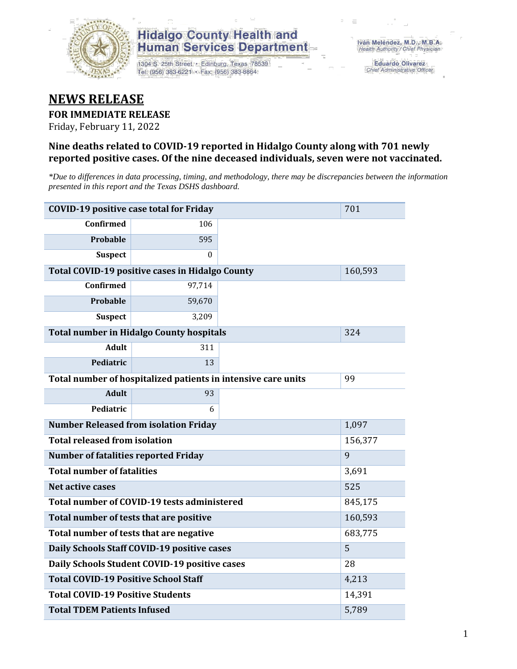

1304 S. 25th Street · Edinburg, Texas 78539 Tel: (956) 383-6221 · Fax: (956) 383-8864

**Eduardo Olivarez** Chief Administrative Officer

#### **NEWS RELEASE**

#### **FOR IMMEDIATE RELEASE**

Friday, February 11, 2022

#### **Nine deaths related to COVID-19 reported in Hidalgo County along with 701 newly reported positive cases. Of the nine deceased individuals, seven were not vaccinated.**

*\*Due to differences in data processing, timing, and methodology, there may be discrepancies between the information presented in this report and the Texas DSHS dashboard.*

| <b>COVID-19 positive case total for Friday</b> |                                                               |        | 701     |
|------------------------------------------------|---------------------------------------------------------------|--------|---------|
| <b>Confirmed</b>                               | 106                                                           |        |         |
| Probable                                       | 595                                                           |        |         |
| <b>Suspect</b>                                 | $\Omega$                                                      |        |         |
|                                                | Total COVID-19 positive cases in Hidalgo County               |        | 160,593 |
| <b>Confirmed</b>                               | 97,714                                                        |        |         |
| Probable                                       | 59,670                                                        |        |         |
| <b>Suspect</b>                                 | 3,209                                                         |        |         |
|                                                | <b>Total number in Hidalgo County hospitals</b>               |        | 324     |
| <b>Adult</b>                                   | 311                                                           |        |         |
| Pediatric                                      | 13                                                            |        |         |
|                                                | Total number of hospitalized patients in intensive care units | 99     |         |
| <b>Adult</b>                                   | 93                                                            |        |         |
| Pediatric                                      | 6                                                             |        |         |
| <b>Number Released from isolation Friday</b>   |                                                               | 1,097  |         |
| <b>Total released from isolation</b>           |                                                               |        | 156,377 |
| <b>Number of fatalities reported Friday</b>    |                                                               |        | 9       |
| <b>Total number of fatalities</b>              |                                                               |        | 3,691   |
| Net active cases                               |                                                               |        | 525     |
|                                                | Total number of COVID-19 tests administered                   |        | 845,175 |
| Total number of tests that are positive        |                                                               |        | 160,593 |
|                                                | Total number of tests that are negative                       |        | 683,775 |
|                                                | Daily Schools Staff COVID-19 positive cases                   |        | 5       |
|                                                | Daily Schools Student COVID-19 positive cases                 |        | 28      |
| <b>Total COVID-19 Positive School Staff</b>    |                                                               |        | 4,213   |
| <b>Total COVID-19 Positive Students</b>        |                                                               | 14,391 |         |
| <b>Total TDEM Patients Infused</b>             |                                                               | 5,789  |         |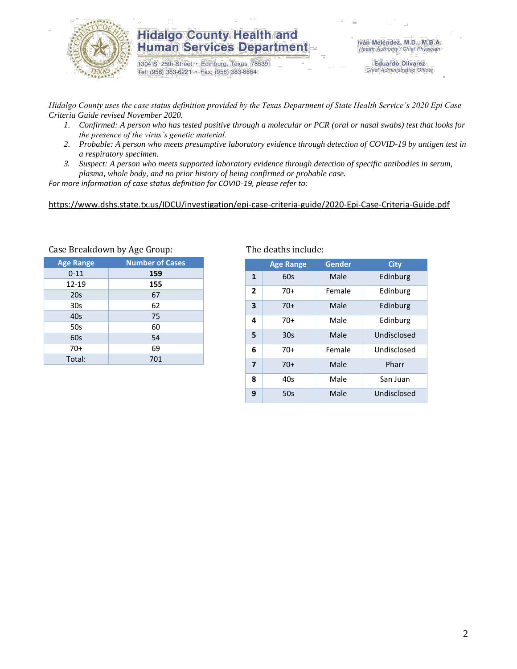

1304 S. 25th Street · Edinburg, Texas 78539 Tel: (956) 383-6221 · Fax: (956) 383-8864

**Eduardo Olivarez** Chief Administrative Officer

*Hidalgo County uses the case status definition provided by the Texas Department of State Health Service's 2020 Epi Case Criteria Guide revised November 2020.*

- *1. Confirmed: A person who has tested positive through a molecular or PCR (oral or nasal swabs) test that looks for the presence of the virus's genetic material.*
- *2. Probable: A person who meets presumptive laboratory evidence through detection of COVID-19 by antigen test in a respiratory specimen.*
- *3. Suspect: A person who meets supported laboratory evidence through detection of specific antibodies in serum, plasma, whole body, and no prior history of being confirmed or probable case.*

*For more information of case status definition for COVID-19, please refer to:*

<https://www.dshs.state.tx.us/IDCU/investigation/epi-case-criteria-guide/2020-Epi-Case-Criteria-Guide.pdf>

| <b>Age Range</b> | <b>Number of Cases</b> |
|------------------|------------------------|
| $0 - 11$         | 159                    |
| 12-19            | 155                    |
| 20s              | 67                     |
| 30 <sub>s</sub>  | 62                     |
| 40s              | 75                     |
| 50s              | 60                     |
| 60s              | 54                     |
| $70+$            | 69                     |
| Total:           | 701                    |
|                  |                        |

#### Case Breakdown by Age Group: The deaths include:

|                         | <b>Age Range</b> | Gender | <b>City</b> |
|-------------------------|------------------|--------|-------------|
| $\mathbf{1}$            | 60s              | Male   | Edinburg    |
| $\overline{2}$          | $70+$            | Female | Edinburg    |
| 3                       | $70+$            | Male   | Edinburg    |
| 4                       | $70+$            | Male   | Edinburg    |
| 5                       | 30 <sub>s</sub>  | Male   | Undisclosed |
| 6                       | $70+$            | Female | Undisclosed |
| $\overline{\mathbf{z}}$ | $70+$            | Male   | Pharr       |
| 8                       | 40s              | Male   | San Juan    |
| 9                       | 50s              | Male   | Undisclosed |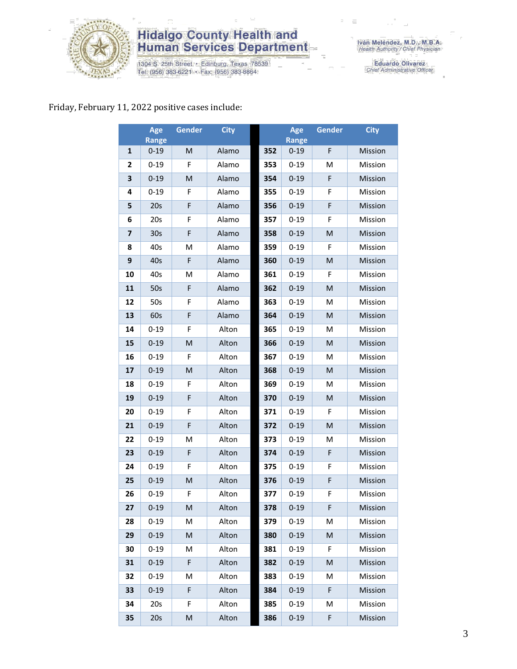

1304 S. 25th Street · Edinburg, Texas 78539<br>Tel: (956) 383-6221 · Fax: (956) 383-8864

Iván Meléndez, M.D., M.B.A.<br>Health Authority / Chief Physician

Eduardo Olivarez<br>Chief Administrative Officer

#### Friday, February 11, 2022 positive cases include:

|                         | Age<br><b>Range</b> | <b>Gender</b> | <b>City</b> |     | Age<br><b>Range</b> | Gender | <b>City</b> |
|-------------------------|---------------------|---------------|-------------|-----|---------------------|--------|-------------|
| $\mathbf{1}$            | $0 - 19$            | M             | Alamo       | 352 | $0 - 19$            | F      | Mission     |
| 2                       | $0 - 19$            | F             | Alamo       | 353 | $0 - 19$            | M      | Mission     |
| 3                       | $0 - 19$            | M             | Alamo       | 354 | $0 - 19$            | F      | Mission     |
| 4                       | $0 - 19$            | F             | Alamo       | 355 | $0 - 19$            | F      | Mission     |
| 5                       | 20s                 | F             | Alamo       | 356 | $0 - 19$            | F      | Mission     |
| 6                       | 20s                 | F             | Alamo       | 357 | $0 - 19$            | F      | Mission     |
| $\overline{\mathbf{z}}$ | 30 <sub>s</sub>     | F             | Alamo       | 358 | $0 - 19$            | M      | Mission     |
| 8                       | 40s                 | M             | Alamo       | 359 | $0 - 19$            | F      | Mission     |
| 9                       | 40s                 | F             | Alamo       | 360 | $0 - 19$            | M      | Mission     |
| 10                      | 40s                 | M             | Alamo       | 361 | $0 - 19$            | F      | Mission     |
| 11                      | 50s                 | F             | Alamo       | 362 | $0 - 19$            | M      | Mission     |
| 12                      | 50s                 | F             | Alamo       | 363 | $0 - 19$            | M      | Mission     |
| 13                      | 60s                 | F             | Alamo       | 364 | $0 - 19$            | M      | Mission     |
| 14                      | $0 - 19$            | F             | Alton       | 365 | $0 - 19$            | M      | Mission     |
| 15                      | $0 - 19$            | M             | Alton       | 366 | $0 - 19$            | M      | Mission     |
| 16                      | $0 - 19$            | F             | Alton       | 367 | $0 - 19$            | м      | Mission     |
| 17                      | $0 - 19$            | M             | Alton       | 368 | $0 - 19$            | M      | Mission     |
| 18                      | $0 - 19$            | F             | Alton       | 369 | $0 - 19$            | M      | Mission     |
| 19                      | $0 - 19$            | F             | Alton       | 370 | $0 - 19$            | M      | Mission     |
| 20                      | $0 - 19$            | F             | Alton       | 371 | $0 - 19$            | F      | Mission     |
| 21                      | $0 - 19$            | F             | Alton       | 372 | $0 - 19$            | M      | Mission     |
| 22                      | $0 - 19$            | M             | Alton       | 373 | $0 - 19$            | M      | Mission     |
| 23                      | $0 - 19$            | F             | Alton       | 374 | $0 - 19$            | F      | Mission     |
| 24                      | $0 - 19$            | F             | Alton       | 375 | $0 - 19$            | F      | Mission     |
| 25                      | $0 - 19$            | M             | Alton       | 376 | $0 - 19$            | F      | Mission     |
| 26                      | $0 - 19$            | F             | Alton       | 377 | $0 - 19$            | F      | Mission     |
| 27                      | $0 - 19$            | M             | Alton       | 378 | $0 - 19$            | F      | Mission     |
| 28                      | $0 - 19$            | M             | Alton       | 379 | $0 - 19$            | M      | Mission     |
| 29                      | $0 - 19$            | M             | Alton       | 380 | $0 - 19$            | M      | Mission     |
| 30                      | $0 - 19$            | М             | Alton       | 381 | $0 - 19$            | F      | Mission     |
| 31                      | $0 - 19$            | F             | Alton       | 382 | $0 - 19$            | M      | Mission     |
| 32                      | $0 - 19$            | M             | Alton       | 383 | $0 - 19$            | M      | Mission     |
| 33                      | $0 - 19$            | F             | Alton       | 384 | $0 - 19$            | F      | Mission     |
| 34                      | 20s                 | F             | Alton       | 385 | $0 - 19$            | M      | Mission     |
| 35                      | 20s                 | M             | Alton       | 386 | $0 - 19$            | F      | Mission     |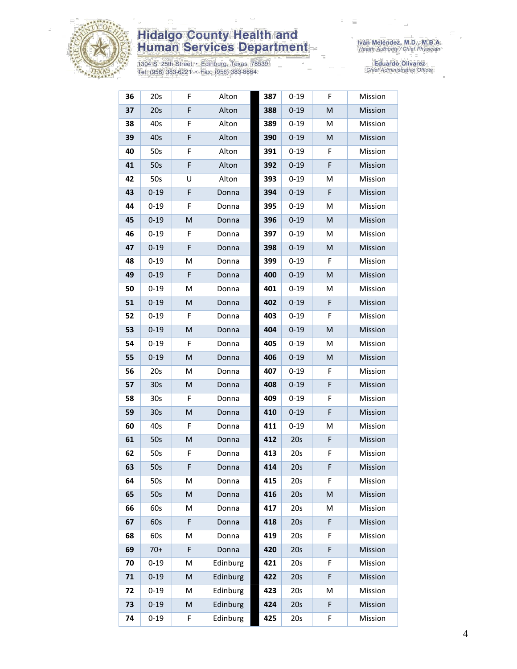

1304 S. 25th Street • Edinburg, Texas 78539<br>Tel: (956) 383-6221 • Fax: (956) 383-8864

Iván Meléndez, M.D., M.B.A.<br>Health Authority / Chief Physician

| 36 | 20s             | F | Alton    | 387 | $0 - 19$ | F           | Mission |
|----|-----------------|---|----------|-----|----------|-------------|---------|
| 37 | 20s             | F | Alton    | 388 | $0 - 19$ | M           | Mission |
| 38 | 40s             | F | Alton    | 389 | $0 - 19$ | M           | Mission |
| 39 | 40s             | F | Alton    | 390 | $0 - 19$ | M           | Mission |
| 40 | 50s             | F | Alton    | 391 | $0 - 19$ | F           | Mission |
| 41 | 50s             | F | Alton    | 392 | $0 - 19$ | F           | Mission |
| 42 | 50s             | U | Alton    | 393 | $0 - 19$ | M           | Mission |
| 43 | $0 - 19$        | F | Donna    | 394 | $0 - 19$ | F           | Mission |
| 44 | $0 - 19$        | F | Donna    | 395 | $0 - 19$ | M           | Mission |
| 45 | $0 - 19$        | M | Donna    | 396 | $0 - 19$ | M           | Mission |
| 46 | $0 - 19$        | F | Donna    | 397 | $0 - 19$ | M           | Mission |
| 47 | $0 - 19$        | F | Donna    | 398 | $0 - 19$ | M           | Mission |
| 48 | $0 - 19$        | M | Donna    | 399 | $0 - 19$ | F           | Mission |
| 49 | $0 - 19$        | F | Donna    | 400 | $0 - 19$ | M           | Mission |
| 50 | $0 - 19$        | м | Donna    | 401 | $0 - 19$ | M           | Mission |
| 51 | $0 - 19$        | M | Donna    | 402 | $0 - 19$ | F           | Mission |
| 52 | $0 - 19$        | F | Donna    | 403 | $0 - 19$ | F           | Mission |
| 53 | $0 - 19$        | M | Donna    | 404 | $0 - 19$ | M           | Mission |
| 54 | $0 - 19$        | F | Donna    | 405 | $0 - 19$ | M           | Mission |
| 55 | $0 - 19$        | M | Donna    | 406 | $0 - 19$ | M           | Mission |
| 56 | 20s             | M | Donna    | 407 | $0 - 19$ | F           | Mission |
| 57 | 30s             | M | Donna    | 408 | $0 - 19$ | $\mathsf F$ | Mission |
| 58 | 30 <sub>s</sub> | F | Donna    | 409 | $0 - 19$ | F           | Mission |
| 59 | 30 <sub>s</sub> | M | Donna    | 410 | $0 - 19$ | F           | Mission |
| 60 | 40s             | F | Donna    | 411 | $0 - 19$ | M           | Mission |
| 61 | 50s             | M | Donna    | 412 | 20s      | F           | Mission |
| 62 | 50s             | F | Donna    | 413 | 20s      | F           | Mission |
| 63 | 50s             | F | Donna    | 414 | 20s      | F           | Mission |
| 64 | 50s             | М | Donna    | 415 | 20s      | F           | Mission |
| 65 | 50s             | M | Donna    | 416 | 20s      | M           | Mission |
| 66 | 60s             | M | Donna    | 417 | 20s      | M           | Mission |
| 67 | 60s             | F | Donna    | 418 | 20s      | F           | Mission |
| 68 | 60s             | M | Donna    | 419 | 20s      | F           | Mission |
| 69 | $70+$           | F | Donna    | 420 | 20s      | F           | Mission |
| 70 | $0 - 19$        | M | Edinburg | 421 | 20s      | F           | Mission |
| 71 | $0 - 19$        | M | Edinburg | 422 | 20s      | F           | Mission |
| 72 | $0 - 19$        | M | Edinburg | 423 | 20s      | M           | Mission |
| 73 | $0 - 19$        | M | Edinburg | 424 | 20s      | F           | Mission |
| 74 | $0 - 19$        | F | Edinburg | 425 | 20s      | F           | Mission |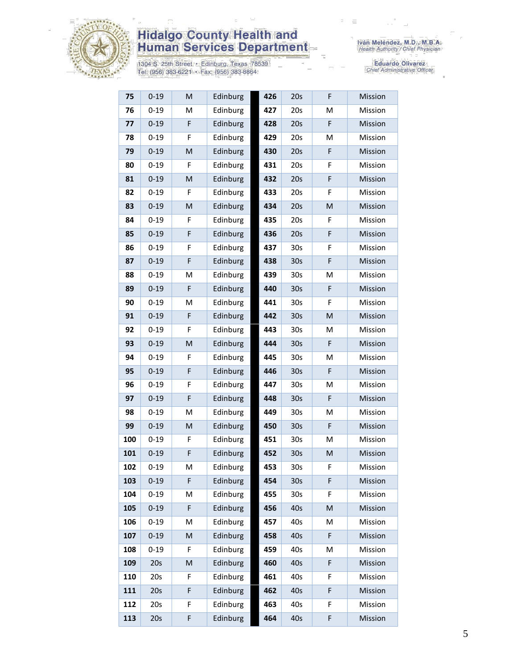

1304 S. 25th Street • Edinburg, Texas 78539<br>Tel: (956) 383-6221 • Fax: (956) 383-8864

| 75  | $0 - 19$ | M | Edinburg | 426 | 20s             | F           | Mission |
|-----|----------|---|----------|-----|-----------------|-------------|---------|
| 76  | $0 - 19$ | M | Edinburg | 427 | 20s             | M           | Mission |
| 77  | $0 - 19$ | F | Edinburg | 428 | 20s             | $\mathsf F$ | Mission |
| 78  | $0 - 19$ | F | Edinburg | 429 | 20s             | M           | Mission |
| 79  | $0 - 19$ | M | Edinburg | 430 | 20s             | F           | Mission |
| 80  | $0 - 19$ | F | Edinburg | 431 | 20s             | F           | Mission |
| 81  | $0 - 19$ | M | Edinburg | 432 | 20s             | F           | Mission |
| 82  | $0 - 19$ | F | Edinburg | 433 | 20s             | F           | Mission |
| 83  | $0 - 19$ | M | Edinburg | 434 | 20s             | M           | Mission |
| 84  | $0 - 19$ | F | Edinburg | 435 | 20s             | F           | Mission |
| 85  | $0 - 19$ | F | Edinburg | 436 | 20s             | F           | Mission |
| 86  | $0 - 19$ | F | Edinburg | 437 | 30 <sub>s</sub> | F           | Mission |
| 87  | $0 - 19$ | F | Edinburg | 438 | 30 <sub>s</sub> | F           | Mission |
| 88  | $0 - 19$ | M | Edinburg | 439 | 30 <sub>s</sub> | M           | Mission |
| 89  | $0 - 19$ | F | Edinburg | 440 | 30 <sub>s</sub> | F           | Mission |
| 90  | $0 - 19$ | M | Edinburg | 441 | 30 <sub>s</sub> | F           | Mission |
| 91  | $0 - 19$ | F | Edinburg | 442 | 30 <sub>s</sub> | M           | Mission |
| 92  | $0 - 19$ | F | Edinburg | 443 | 30 <sub>s</sub> | M           | Mission |
| 93  | $0 - 19$ | M | Edinburg | 444 | 30 <sub>s</sub> | F           | Mission |
| 94  | $0 - 19$ | F | Edinburg | 445 | 30 <sub>s</sub> | M           | Mission |
| 95  | $0 - 19$ | F | Edinburg | 446 | 30 <sub>s</sub> | F           | Mission |
| 96  | $0 - 19$ | F | Edinburg | 447 | 30 <sub>s</sub> | M           | Mission |
| 97  | $0 - 19$ | F | Edinburg | 448 | 30 <sub>s</sub> | F           | Mission |
| 98  | $0 - 19$ | M | Edinburg | 449 | 30 <sub>s</sub> | M           | Mission |
| 99  | $0 - 19$ | M | Edinburg | 450 | 30 <sub>s</sub> | F           | Mission |
| 100 | $0 - 19$ | F | Edinburg | 451 | 30 <sub>s</sub> | M           | Mission |
| 101 | $0 - 19$ | F | Edinburg | 452 | 30 <sub>s</sub> | M           | Mission |
| 102 | $0 - 19$ | M | Edinburg | 453 | 30 <sub>s</sub> | F           | Mission |
| 103 | $0 - 19$ | F | Edinburg | 454 | 30 <sub>s</sub> | F           | Mission |
| 104 | $0 - 19$ | M | Edinburg | 455 | 30 <sub>s</sub> | F           | Mission |
| 105 | $0 - 19$ | F | Edinburg | 456 | 40s             | M           | Mission |
| 106 | $0 - 19$ | M | Edinburg | 457 | 40s             | M           | Mission |
| 107 | $0 - 19$ | M | Edinburg | 458 | 40s             | F           | Mission |
| 108 | $0 - 19$ | F | Edinburg | 459 | 40s             | Μ           | Mission |
| 109 | 20s      | M | Edinburg | 460 | 40s             | F           | Mission |
| 110 | 20s      | F | Edinburg | 461 | 40s             | F           | Mission |
| 111 | 20s      | F | Edinburg | 462 | 40s             | F           | Mission |
| 112 | 20s      | F | Edinburg | 463 | 40s             | F           | Mission |
| 113 | 20s      | F | Edinburg | 464 | 40s             | F           | Mission |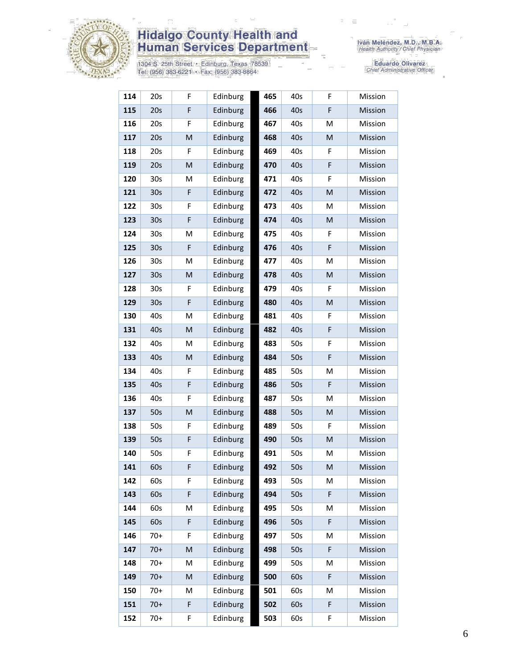

1304 S. 25th Street • Edinburg, Texas 78539<br>Tel: (956) 383-6221 • Fax: (956) 383-8864

Iván Meléndez, M.D., M.B.A.<br>Health Authority / Chief Physician

| 114 | 20s             | F | Edinburg | 465 | 40s | F | Mission |
|-----|-----------------|---|----------|-----|-----|---|---------|
| 115 | 20s             | F | Edinburg | 466 | 40s | F | Mission |
| 116 | 20s             | F | Edinburg | 467 | 40s | M | Mission |
| 117 | 20s             | M | Edinburg | 468 | 40s | M | Mission |
| 118 | 20s             | F | Edinburg | 469 | 40s | F | Mission |
| 119 | 20s             | M | Edinburg | 470 | 40s | F | Mission |
| 120 | 30 <sub>s</sub> | M | Edinburg | 471 | 40s | F | Mission |
| 121 | 30 <sub>s</sub> | F | Edinburg | 472 | 40s | M | Mission |
| 122 | 30s             | F | Edinburg | 473 | 40s | M | Mission |
| 123 | 30s             | F | Edinburg | 474 | 40s | M | Mission |
| 124 | 30 <sub>s</sub> | M | Edinburg | 475 | 40s | F | Mission |
| 125 | 30 <sub>s</sub> | F | Edinburg | 476 | 40s | F | Mission |
| 126 | 30s             | M | Edinburg | 477 | 40s | M | Mission |
| 127 | 30 <sub>s</sub> | M | Edinburg | 478 | 40s | M | Mission |
| 128 | 30s             | F | Edinburg | 479 | 40s | F | Mission |
| 129 | 30 <sub>s</sub> | F | Edinburg | 480 | 40s | M | Mission |
| 130 | 40s             | M | Edinburg | 481 | 40s | F | Mission |
| 131 | 40s             | M | Edinburg | 482 | 40s | F | Mission |
| 132 | 40s             | M | Edinburg | 483 | 50s | F | Mission |
| 133 | 40s             | M | Edinburg | 484 | 50s | F | Mission |
| 134 | 40s             | F | Edinburg | 485 | 50s | M | Mission |
| 135 | 40s             | F | Edinburg | 486 | 50s | F | Mission |
| 136 | 40s             | F | Edinburg | 487 | 50s | M | Mission |
| 137 | 50s             | M | Edinburg | 488 | 50s | M | Mission |
| 138 | 50s             | F | Edinburg | 489 | 50s | F | Mission |
| 139 | 50s             | F | Edinburg | 490 | 50s | M | Mission |
| 140 | 50s             | F | Edinburg | 491 | 50s | M | Mission |
| 141 | 60s             | F | Edinburg | 492 | 50s | M | Mission |
| 142 | 60s             | F | Edinburg | 493 | 50s | М | Mission |
| 143 | 60s             | F | Edinburg | 494 | 50s | F | Mission |
| 144 | 60s             | M | Edinburg | 495 | 50s | M | Mission |
| 145 | 60s             | F | Edinburg | 496 | 50s | F | Mission |
| 146 | $70+$           | F | Edinburg | 497 | 50s | M | Mission |
| 147 | $70+$           | M | Edinburg | 498 | 50s | F | Mission |
| 148 | $70+$           | M | Edinburg | 499 | 50s | M | Mission |
| 149 | $70+$           | M | Edinburg | 500 | 60s | F | Mission |
| 150 | $70+$           | M | Edinburg | 501 | 60s | M | Mission |
| 151 | $70+$           | F | Edinburg | 502 | 60s | F | Mission |
| 152 | $70+$           | F | Edinburg | 503 | 60s | F | Mission |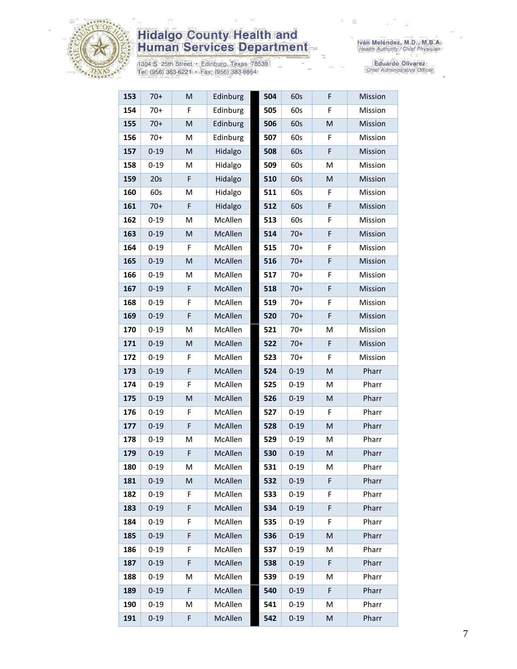

1304 S. 25th Street • Edinburg, Texas 78539<br>Tel: (956) 383-6221 • Fax: (956) 383-8864

| 153 | $70+$    | M           | Edinburg | 504 | 60s      | F           | Mission |
|-----|----------|-------------|----------|-----|----------|-------------|---------|
| 154 | $70+$    | F           | Edinburg | 505 | 60s      | F           | Mission |
| 155 | $70+$    | M           | Edinburg | 506 | 60s      | M           | Mission |
| 156 | $70+$    | M           | Edinburg | 507 | 60s      | F           | Mission |
| 157 | $0 - 19$ | M           | Hidalgo  | 508 | 60s      | F           | Mission |
| 158 | $0 - 19$ | M           | Hidalgo  | 509 | 60s      | M           | Mission |
| 159 | 20s      | F           | Hidalgo  | 510 | 60s      | M           | Mission |
| 160 | 60s      | M           | Hidalgo  | 511 | 60s      | F           | Mission |
| 161 | $70+$    | $\mathsf F$ | Hidalgo  | 512 | 60s      | $\mathsf F$ | Mission |
| 162 | $0 - 19$ | M           | McAllen  | 513 | 60s      | F           | Mission |
| 163 | $0 - 19$ | M           | McAllen  | 514 | $70+$    | $\mathsf F$ | Mission |
| 164 | $0 - 19$ | F           | McAllen  | 515 | $70+$    | F           | Mission |
| 165 | $0 - 19$ | M           | McAllen  | 516 | $70+$    | F           | Mission |
| 166 | $0 - 19$ | M           | McAllen  | 517 | $70+$    | F           | Mission |
| 167 | $0 - 19$ | F           | McAllen  | 518 | $70+$    | $\mathsf F$ | Mission |
| 168 | $0 - 19$ | F           | McAllen  | 519 | $70+$    | F           | Mission |
| 169 | $0 - 19$ | F           | McAllen  | 520 | $70+$    | $\mathsf F$ | Mission |
| 170 | $0 - 19$ | M           | McAllen  | 521 | $70+$    | M           | Mission |
| 171 | $0 - 19$ | M           | McAllen  | 522 | $70+$    | F           | Mission |
| 172 | $0 - 19$ | F           | McAllen  | 523 | $70+$    | F           | Mission |
| 173 | $0 - 19$ | F           | McAllen  | 524 | $0 - 19$ | M           | Pharr   |
| 174 | $0 - 19$ | F           | McAllen  | 525 | $0 - 19$ | M           | Pharr   |
| 175 | $0 - 19$ | M           | McAllen  | 526 | $0 - 19$ | M           | Pharr   |
| 176 | $0 - 19$ | F           | McAllen  | 527 | $0 - 19$ | F           | Pharr   |
| 177 | $0 - 19$ | F           | McAllen  | 528 | $0 - 19$ | M           | Pharr   |
| 178 | $0 - 19$ | M           | McAllen  | 529 | $0 - 19$ | M           | Pharr   |
| 179 | $0 - 19$ | F           | McAllen  | 530 | $0 - 19$ | M           | Pharr   |
| 180 | $0 - 19$ | M           | McAllen  | 531 | $0 - 19$ | M           | Pharr   |
| 181 | $0 - 19$ | M           | McAllen  | 532 | $0 - 19$ | F           | Pharr   |
| 182 | $0 - 19$ | F           | McAllen  | 533 | $0 - 19$ | F           | Pharr   |
| 183 | $0 - 19$ | F           | McAllen  | 534 | $0 - 19$ | F           | Pharr   |
| 184 | $0 - 19$ | F           | McAllen  | 535 | $0 - 19$ | F           | Pharr   |
| 185 | $0 - 19$ | F           | McAllen  | 536 | $0 - 19$ | M           | Pharr   |
| 186 | $0 - 19$ | F           | McAllen  | 537 | $0 - 19$ | Μ           | Pharr   |
| 187 | $0 - 19$ | F           | McAllen  | 538 | $0 - 19$ | F           | Pharr   |
| 188 | $0 - 19$ | M           | McAllen  | 539 | $0 - 19$ | M           | Pharr   |
| 189 | $0 - 19$ | F           | McAllen  | 540 | $0 - 19$ | F           | Pharr   |
| 190 | $0 - 19$ | M           | McAllen  | 541 | $0 - 19$ | Μ           | Pharr   |
| 191 | $0 - 19$ | F           | McAllen  | 542 | $0 - 19$ | M           | Pharr   |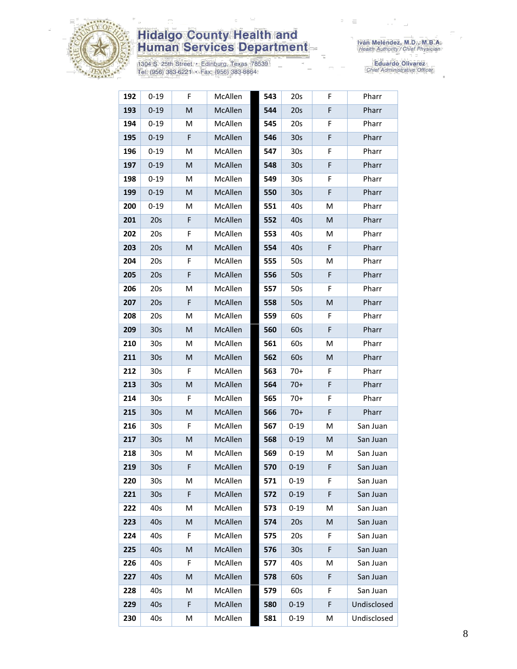

1304 S. 25th Street • Edinburg, Texas 78539<br>Tel: (956) 383-6221 • Fax: (956) 383-8864

| 192 | $0 - 19$        | F                                                                                                          | McAllen | 543 | 20s             | F | Pharr       |
|-----|-----------------|------------------------------------------------------------------------------------------------------------|---------|-----|-----------------|---|-------------|
| 193 | $0 - 19$        | M                                                                                                          | McAllen | 544 | 20s             | F | Pharr       |
| 194 | $0 - 19$        | M                                                                                                          | McAllen | 545 | 20s             | F | Pharr       |
| 195 | $0 - 19$        | F                                                                                                          | McAllen | 546 | 30 <sub>s</sub> | F | Pharr       |
| 196 | $0 - 19$        | M                                                                                                          | McAllen | 547 | 30 <sub>s</sub> | F | Pharr       |
| 197 | $0 - 19$        | M                                                                                                          | McAllen | 548 | 30 <sub>s</sub> | F | Pharr       |
| 198 | $0 - 19$        | М                                                                                                          | McAllen | 549 | 30 <sub>s</sub> | F | Pharr       |
| 199 | $0 - 19$        | M                                                                                                          | McAllen | 550 | 30 <sub>s</sub> | F | Pharr       |
| 200 | $0 - 19$        | M                                                                                                          | McAllen | 551 | 40s             | M | Pharr       |
| 201 | 20s             | F                                                                                                          | McAllen | 552 | 40s             | M | Pharr       |
| 202 | 20s             | F                                                                                                          | McAllen | 553 | 40s             | M | Pharr       |
| 203 | 20s             | M                                                                                                          | McAllen | 554 | 40s             | F | Pharr       |
| 204 | 20s             | F                                                                                                          | McAllen | 555 | 50s             | М | Pharr       |
| 205 | 20s             | F                                                                                                          | McAllen | 556 | 50s             | F | Pharr       |
| 206 | 20s             | M                                                                                                          | McAllen | 557 | 50s             | F | Pharr       |
| 207 | 20s             | F                                                                                                          | McAllen | 558 | 50s             | M | Pharr       |
| 208 | 20s             | M                                                                                                          | McAllen | 559 | 60s             | F | Pharr       |
| 209 | 30 <sub>s</sub> | M                                                                                                          | McAllen | 560 | 60s             | F | Pharr       |
| 210 | 30 <sub>s</sub> | M                                                                                                          | McAllen | 561 | 60s             | M | Pharr       |
| 211 | 30 <sub>s</sub> | $\mathsf{M}% _{T}=\mathsf{M}_{T}\!\left( a,b\right) ,\ \mathsf{M}_{T}=\mathsf{M}_{T}\!\left( a,b\right) ,$ | McAllen | 562 | 60s             | M | Pharr       |
| 212 | 30 <sub>s</sub> | F                                                                                                          | McAllen | 563 | $70+$           | F | Pharr       |
| 213 | 30s             | M                                                                                                          | McAllen | 564 | $70+$           | F | Pharr       |
| 214 | 30s             | F                                                                                                          | McAllen | 565 | $70+$           | F | Pharr       |
| 215 | 30 <sub>s</sub> | M                                                                                                          | McAllen | 566 | $70+$           | F | Pharr       |
| 216 | 30 <sub>s</sub> | F                                                                                                          | McAllen | 567 | $0 - 19$        | M | San Juan    |
| 217 | 30 <sub>s</sub> | M                                                                                                          | McAllen | 568 | $0 - 19$        | M | San Juan    |
| 218 | 30 <sub>s</sub> | M                                                                                                          | McAllen | 569 | $0 - 19$        | M | San Juan    |
| 219 | 30 <sub>s</sub> | F                                                                                                          | McAllen | 570 | $0 - 19$        | F | San Juan    |
| 220 | 30s             | M                                                                                                          | McAllen | 571 | $0 - 19$        | F | San Juan    |
| 221 | 30 <sub>s</sub> | F                                                                                                          | McAllen | 572 | $0 - 19$        | F | San Juan    |
| 222 | 40s             | M                                                                                                          | McAllen | 573 | $0 - 19$        | Μ | San Juan    |
| 223 | 40s             | M                                                                                                          | McAllen | 574 | 20s             | M | San Juan    |
| 224 | 40s             | F                                                                                                          | McAllen | 575 | 20s             | F | San Juan    |
| 225 | 40s             | M                                                                                                          | McAllen | 576 | 30 <sub>s</sub> | F | San Juan    |
| 226 | 40s             | F                                                                                                          | McAllen | 577 | 40s             | M | San Juan    |
| 227 | 40s             | M                                                                                                          | McAllen | 578 | 60s             | F | San Juan    |
| 228 | 40s             | M                                                                                                          | McAllen | 579 | 60s             | F | San Juan    |
| 229 | 40s             | F                                                                                                          | McAllen | 580 | $0 - 19$        | F | Undisclosed |
| 230 | 40s             | M                                                                                                          | McAllen | 581 | $0 - 19$        | M | Undisclosed |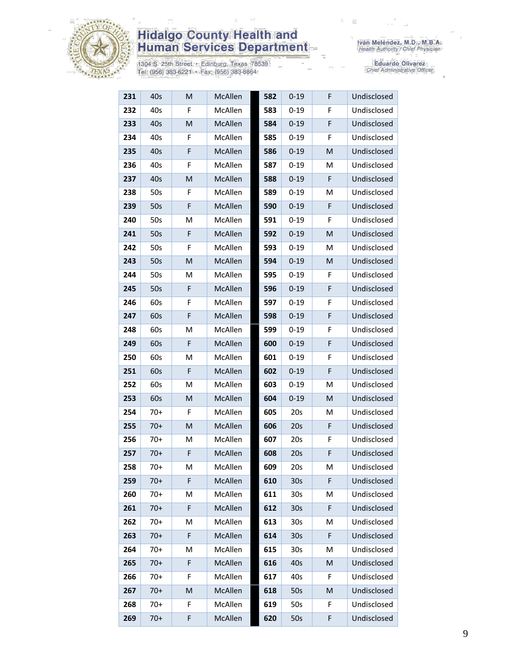

1304 S. 25th Street • Edinburg, Texas 78539<br>Tel: (956) 383-6221 • Fax: (956) 383-8864

| 231 | 40s   | M           | McAllen | 582 | $0 - 19$        | F | Undisclosed |
|-----|-------|-------------|---------|-----|-----------------|---|-------------|
| 232 | 40s   | F           | McAllen | 583 | $0 - 19$        | F | Undisclosed |
| 233 | 40s   | M           | McAllen | 584 | $0 - 19$        | F | Undisclosed |
| 234 | 40s   | F           | McAllen | 585 | $0 - 19$        | F | Undisclosed |
| 235 | 40s   | F           | McAllen | 586 | $0 - 19$        | M | Undisclosed |
| 236 | 40s   | F           | McAllen | 587 | $0 - 19$        | M | Undisclosed |
| 237 | 40s   | M           | McAllen | 588 | $0 - 19$        | F | Undisclosed |
| 238 | 50s   | F           | McAllen | 589 | $0 - 19$        | M | Undisclosed |
| 239 | 50s   | F           | McAllen | 590 | $0 - 19$        | F | Undisclosed |
| 240 | 50s   | M           | McAllen | 591 | $0 - 19$        | F | Undisclosed |
| 241 | 50s   | F           | McAllen | 592 | $0 - 19$        | M | Undisclosed |
| 242 | 50s   | F           | McAllen | 593 | $0 - 19$        | M | Undisclosed |
| 243 | 50s   | M           | McAllen | 594 | $0 - 19$        | M | Undisclosed |
| 244 | 50s   | M           | McAllen | 595 | $0 - 19$        | F | Undisclosed |
| 245 | 50s   | F           | McAllen | 596 | $0 - 19$        | F | Undisclosed |
| 246 | 60s   | F           | McAllen | 597 | $0 - 19$        | F | Undisclosed |
| 247 | 60s   | $\mathsf F$ | McAllen | 598 | $0 - 19$        | F | Undisclosed |
| 248 | 60s   | M           | McAllen | 599 | $0 - 19$        | F | Undisclosed |
| 249 | 60s   | F           | McAllen | 600 | $0 - 19$        | F | Undisclosed |
| 250 | 60s   | M           | McAllen | 601 | $0 - 19$        | F | Undisclosed |
| 251 | 60s   | F           | McAllen | 602 | $0 - 19$        | F | Undisclosed |
| 252 | 60s   | M           | McAllen | 603 | $0 - 19$        | M | Undisclosed |
| 253 | 60s   | M           | McAllen | 604 | $0 - 19$        | M | Undisclosed |
| 254 | $70+$ | F           | McAllen | 605 | 20s             | Μ | Undisclosed |
| 255 | $70+$ | M           | McAllen | 606 | 20s             | F | Undisclosed |
| 256 | $70+$ | M           | McAllen | 607 | 20s             | F | Undisclosed |
| 257 | $70+$ | F           | McAllen | 608 | 20s             | F | Undisclosed |
| 258 | $70+$ | м           | McAllen | 609 | 20s             | M | Undisclosed |
| 259 | $70+$ | F           | McAllen | 610 | 30 <sub>s</sub> | F | Undisclosed |
| 260 | $70+$ | M           | McAllen | 611 | 30 <sub>s</sub> | M | Undisclosed |
| 261 | $70+$ | F           | McAllen | 612 | 30 <sub>s</sub> | F | Undisclosed |
| 262 | $70+$ | M           | McAllen | 613 | 30 <sub>s</sub> | M | Undisclosed |
| 263 | $70+$ | F           | McAllen | 614 | 30 <sub>s</sub> | F | Undisclosed |
| 264 | $70+$ | Μ           | McAllen | 615 | 30 <sub>s</sub> | M | Undisclosed |
| 265 | $70+$ | $\mathsf F$ | McAllen | 616 | 40s             | M | Undisclosed |
| 266 | $70+$ | $\mathsf F$ | McAllen | 617 | 40s             | F | Undisclosed |
| 267 | $70+$ | M           | McAllen | 618 | 50s             | M | Undisclosed |
| 268 | $70+$ | F           | McAllen | 619 | 50s             | F | Undisclosed |
| 269 | $70+$ | F           | McAllen | 620 | 50s             | F | Undisclosed |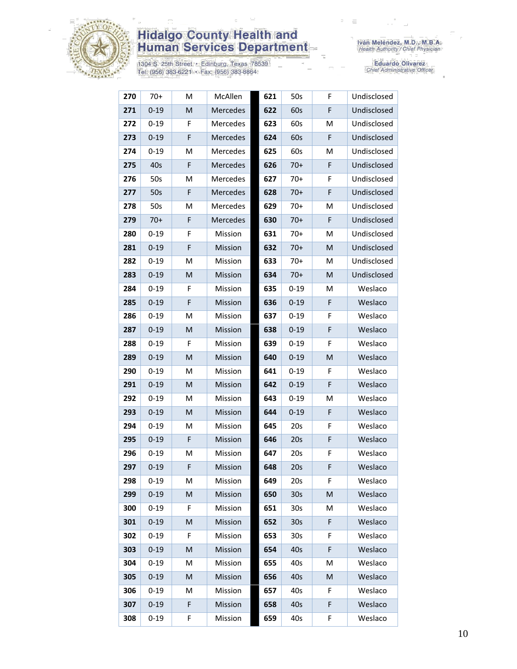

1304 S. 25th Street · Edinburg, Texas 78539<br>Tel: (956) 383-6221 · Fax: (956) 383-8864

| 270 | $70+$    | M         | McAllen  | 621 | 50s             | F | Undisclosed |
|-----|----------|-----------|----------|-----|-----------------|---|-------------|
| 271 | $0 - 19$ | M         | Mercedes | 622 | 60s             | F | Undisclosed |
| 272 | $0 - 19$ | F         | Mercedes | 623 | 60s             | м | Undisclosed |
| 273 | $0 - 19$ | F         | Mercedes | 624 | 60s             | F | Undisclosed |
| 274 | $0 - 19$ | M         | Mercedes | 625 | 60s             | M | Undisclosed |
| 275 | 40s      | F         | Mercedes | 626 | $70+$           | F | Undisclosed |
| 276 | 50s      | M         | Mercedes | 627 | $70+$           | F | Undisclosed |
| 277 | 50s      | F         | Mercedes | 628 | $70+$           | F | Undisclosed |
| 278 | 50s      | M         | Mercedes | 629 | $70+$           | M | Undisclosed |
| 279 | $70+$    | F         | Mercedes | 630 | $70+$           | F | Undisclosed |
| 280 | $0 - 19$ | F         | Mission  | 631 | $70+$           | M | Undisclosed |
| 281 | $0 - 19$ | F         | Mission  | 632 | $70+$           | M | Undisclosed |
| 282 | $0 - 19$ | M         | Mission  | 633 | $70+$           | M | Undisclosed |
| 283 | $0 - 19$ | M         | Mission  | 634 | $70+$           | M | Undisclosed |
| 284 | $0 - 19$ | F         | Mission  | 635 | $0 - 19$        | М | Weslaco     |
| 285 | $0 - 19$ | F         | Mission  | 636 | $0 - 19$        | F | Weslaco     |
| 286 | $0 - 19$ | M         | Mission  | 637 | $0 - 19$        | F | Weslaco     |
| 287 | $0 - 19$ | ${\sf M}$ | Mission  | 638 | $0 - 19$        | F | Weslaco     |
| 288 | $0 - 19$ | F         | Mission  | 639 | $0 - 19$        | F | Weslaco     |
| 289 | $0 - 19$ | M         | Mission  | 640 | $0 - 19$        | M | Weslaco     |
| 290 | $0 - 19$ | M         | Mission  | 641 | $0 - 19$        | F | Weslaco     |
| 291 | $0 - 19$ | M         | Mission  | 642 | $0 - 19$        | F | Weslaco     |
| 292 | $0 - 19$ | M         | Mission  | 643 | $0 - 19$        | M | Weslaco     |
| 293 | $0 - 19$ | M         | Mission  | 644 | $0 - 19$        | F | Weslaco     |
| 294 | $0 - 19$ | M         | Mission  | 645 | 20s             | F | Weslaco     |
| 295 | $0 - 19$ | F         | Mission  | 646 | 20s             | F | Weslaco     |
| 296 | $0 - 19$ | M         | Mission  | 647 | 20s             | F | Weslaco     |
| 297 | $0 - 19$ | F.        | Mission  | 648 | 20s             | F | Weslaco     |
| 298 | $0 - 19$ | М         | Mission  | 649 | 20s             | F | Weslaco     |
| 299 | $0 - 19$ | M         | Mission  | 650 | 30 <sub>s</sub> | M | Weslaco     |
| 300 | $0 - 19$ | F         | Mission  | 651 | 30 <sub>s</sub> | M | Weslaco     |
| 301 | $0 - 19$ | M         | Mission  | 652 | 30 <sub>s</sub> | F | Weslaco     |
| 302 | $0 - 19$ | F         | Mission  | 653 | 30 <sub>s</sub> | F | Weslaco     |
| 303 | $0 - 19$ | M         | Mission  | 654 | 40s             | F | Weslaco     |
| 304 | $0 - 19$ | M         | Mission  | 655 | 40s             | M | Weslaco     |
| 305 | $0 - 19$ | M         | Mission  | 656 | 40s             | M | Weslaco     |
| 306 | $0 - 19$ | M         | Mission  | 657 | 40s             | F | Weslaco     |
| 307 | $0 - 19$ | F         | Mission  | 658 | 40s             | F | Weslaco     |
| 308 | $0 - 19$ | F         | Mission  | 659 | 40s             | F | Weslaco     |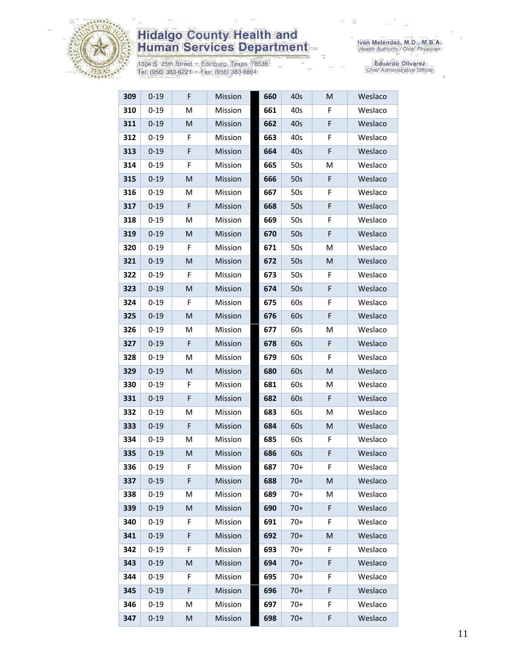

1304 S. 25th Street • Edinburg, Texas 78539<br>Tel: (956) 383-6221 • Fax: (956) 383-8864

| 309 | $0 - 19$ | F                                                                                                          | Mission | 660 | 40s   | M           | Weslaco |
|-----|----------|------------------------------------------------------------------------------------------------------------|---------|-----|-------|-------------|---------|
| 310 | $0 - 19$ | M                                                                                                          | Mission | 661 | 40s   | F           | Weslaco |
| 311 | $0 - 19$ | M                                                                                                          | Mission | 662 | 40s   | F           | Weslaco |
| 312 | $0 - 19$ | F                                                                                                          | Mission | 663 | 40s   | F           | Weslaco |
| 313 | $0 - 19$ | F                                                                                                          | Mission | 664 | 40s   | F           | Weslaco |
| 314 | $0 - 19$ | F                                                                                                          | Mission | 665 | 50s   | M           | Weslaco |
| 315 | $0 - 19$ | M                                                                                                          | Mission | 666 | 50s   | F           | Weslaco |
| 316 | $0 - 19$ | M                                                                                                          | Mission | 667 | 50s   | F           | Weslaco |
| 317 | $0 - 19$ | F                                                                                                          | Mission | 668 | 50s   | F           | Weslaco |
| 318 | $0 - 19$ | M                                                                                                          | Mission | 669 | 50s   | F           | Weslaco |
| 319 | $0 - 19$ | M                                                                                                          | Mission | 670 | 50s   | F           | Weslaco |
| 320 | $0 - 19$ | F                                                                                                          | Mission | 671 | 50s   | Μ           | Weslaco |
| 321 | $0 - 19$ | M                                                                                                          | Mission | 672 | 50s   | M           | Weslaco |
| 322 | $0 - 19$ | F                                                                                                          | Mission | 673 | 50s   | F           | Weslaco |
| 323 | $0 - 19$ | M                                                                                                          | Mission | 674 | 50s   | $\mathsf F$ | Weslaco |
| 324 | $0 - 19$ | F                                                                                                          | Mission | 675 | 60s   | F           | Weslaco |
| 325 | $0 - 19$ | $\mathsf{M}% _{T}=\mathsf{M}_{T}\!\left( a,b\right) ,\ \mathsf{M}_{T}=\mathsf{M}_{T}\!\left( a,b\right) ,$ | Mission | 676 | 60s   | $\mathsf F$ | Weslaco |
| 326 | $0 - 19$ | M                                                                                                          | Mission | 677 | 60s   | М           | Weslaco |
| 327 | $0 - 19$ | F                                                                                                          | Mission | 678 | 60s   | F           | Weslaco |
| 328 | $0 - 19$ | M                                                                                                          | Mission | 679 | 60s   | F           | Weslaco |
| 329 | $0 - 19$ | M                                                                                                          | Mission | 680 | 60s   | M           | Weslaco |
| 330 | $0 - 19$ | F                                                                                                          | Mission | 681 | 60s   | Μ           | Weslaco |
| 331 | $0 - 19$ | F                                                                                                          | Mission | 682 | 60s   | F           | Weslaco |
| 332 | $0 - 19$ | M                                                                                                          | Mission | 683 | 60s   | Μ           | Weslaco |
| 333 | $0 - 19$ | F                                                                                                          | Mission | 684 | 60s   | M           | Weslaco |
| 334 | $0 - 19$ | M                                                                                                          | Mission | 685 | 60s   | F           | Weslaco |
| 335 | $0 - 19$ | $\mathsf{M}% _{T}=\mathsf{M}_{T}\!\left( a,b\right) ,\ \mathsf{M}_{T}=\mathsf{M}_{T}\!\left( a,b\right) ,$ | Mission | 686 | 60s   | F           | Weslaco |
| 336 | $0 - 19$ | F                                                                                                          | Mission | 687 | $70+$ | F           | Weslaco |
| 337 | $0 - 19$ | F                                                                                                          | Mission | 688 | $70+$ | M           | Weslaco |
| 338 | $0 - 19$ | M                                                                                                          | Mission | 689 | $70+$ | Μ           | Weslaco |
| 339 | $0 - 19$ | M                                                                                                          | Mission | 690 | $70+$ | F           | Weslaco |
| 340 | $0 - 19$ | F                                                                                                          | Mission | 691 | $70+$ | F           | Weslaco |
| 341 | $0 - 19$ | F                                                                                                          | Mission | 692 | $70+$ | M           | Weslaco |
| 342 | $0 - 19$ | F                                                                                                          | Mission | 693 | $70+$ | F           | Weslaco |
| 343 | $0 - 19$ | M                                                                                                          | Mission | 694 | $70+$ | F           | Weslaco |
| 344 | $0 - 19$ | F                                                                                                          | Mission | 695 | $70+$ | F           | Weslaco |
| 345 | $0 - 19$ | F                                                                                                          | Mission | 696 | $70+$ | F           | Weslaco |
| 346 | $0 - 19$ | M                                                                                                          | Mission | 697 | 70+   | F           | Weslaco |
| 347 | $0 - 19$ | M                                                                                                          | Mission | 698 | $70+$ | F           | Weslaco |